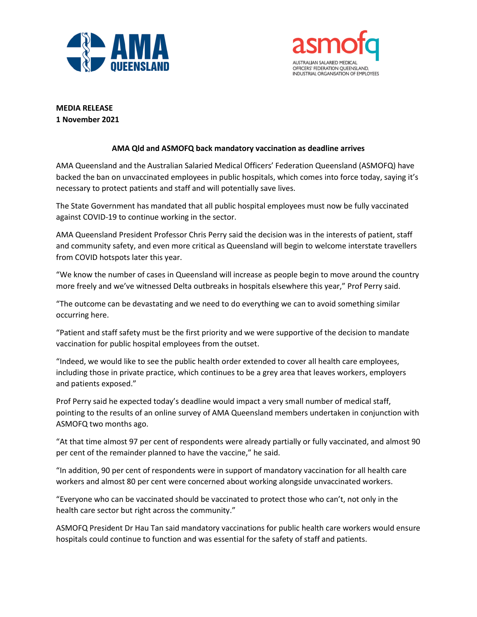



**MEDIA RELEASE 1 November 2021**

## **AMA Qld and ASMOFQ back mandatory vaccination as deadline arrives**

AMA Queensland and the Australian Salaried Medical Officers' Federation Queensland (ASMOFQ) have backed the ban on unvaccinated employees in public hospitals, which comes into force today, saying it's necessary to protect patients and staff and will potentially save lives.

The State Government has mandated that all public hospital employees must now be fully vaccinated against COVID-19 to continue working in the sector.

AMA Queensland President Professor Chris Perry said the decision was in the interests of patient, staff and community safety, and even more critical as Queensland will begin to welcome interstate travellers from COVID hotspots later this year.

"We know the number of cases in Queensland will increase as people begin to move around the country more freely and we've witnessed Delta outbreaks in hospitals elsewhere this year," Prof Perry said.

"The outcome can be devastating and we need to do everything we can to avoid something similar occurring here.

"Patient and staff safety must be the first priority and we were supportive of the decision to mandate vaccination for public hospital employees from the outset.

"Indeed, we would like to see the public health order extended to cover all health care employees, including those in private practice, which continues to be a grey area that leaves workers, employers and patients exposed."

Prof Perry said he expected today's deadline would impact a very small number of medical staff, pointing to the results of an online survey of AMA Queensland members undertaken in conjunction with ASMOFQ two months ago.

"At that time almost 97 per cent of respondents were already partially or fully vaccinated, and almost 90 per cent of the remainder planned to have the vaccine," he said.

"In addition, 90 per cent of respondents were in support of mandatory vaccination for all health care workers and almost 80 per cent were concerned about working alongside unvaccinated workers.

"Everyone who can be vaccinated should be vaccinated to protect those who can't, not only in the health care sector but right across the community."

ASMOFQ President Dr Hau Tan said mandatory vaccinations for public health care workers would ensure hospitals could continue to function and was essential for the safety of staff and patients.